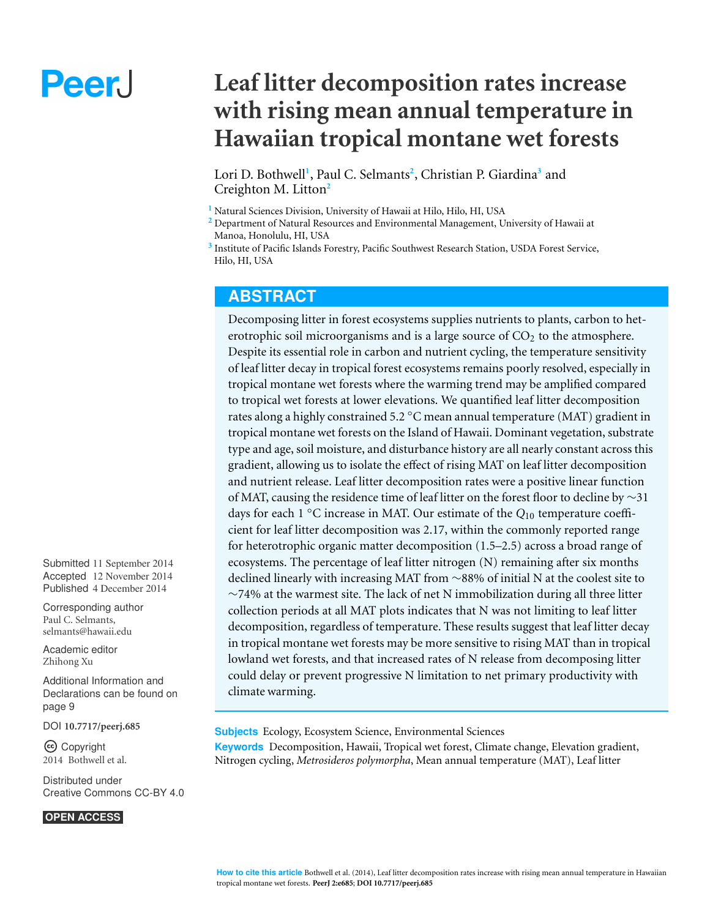# Peer.

# **Leaf litter decomposition rates increase with rising mean annual temperature in Hawaiian tropical montane wet forests**

Lori D. Bothwell**<sup>1</sup>** , Paul C. Selmants**<sup>2</sup>** , Christian P. Giardina**3** and Creighton M. Litton**2**

**<sup>1</sup>**Natural Sciences Division, University of Hawaii at Hilo, Hilo, HI, USA

**<sup>2</sup>**Department of Natural Resources and Environmental Management, University of Hawaii at Manoa, Honolulu, HI, USA

**<sup>3</sup>**Institute of Pacific Islands Forestry, Pacific Southwest Research Station, USDA Forest Service, Hilo, HI, USA

## **ABSTRACT**

Decomposing litter in forest ecosystems supplies nutrients to plants, carbon to heterotrophic soil microorganisms and is a large source of  $CO<sub>2</sub>$  to the atmosphere. Despite its essential role in carbon and nutrient cycling, the temperature sensitivity of leaf litter decay in tropical forest ecosystems remains poorly resolved, especially in tropical montane wet forests where the warming trend may be amplified compared to tropical wet forests at lower elevations. We quantified leaf litter decomposition rates along a highly constrained 5.2 ◦C mean annual temperature (MAT) gradient in tropical montane wet forests on the Island of Hawaii. Dominant vegetation, substrate type and age, soil moisture, and disturbance history are all nearly constant across this gradient, allowing us to isolate the effect of rising MAT on leaf litter decomposition and nutrient release. Leaf litter decomposition rates were a positive linear function of MAT, causing the residence time of leaf litter on the forest floor to decline by ∼31 days for each 1 ◦C increase in MAT. Our estimate of the *Q*10 temperature coefficient for leaf litter decomposition was 2.17, within the commonly reported range for heterotrophic organic matter decomposition (1.5–2.5) across a broad range of ecosystems. The percentage of leaf litter nitrogen (N) remaining after six months declined linearly with increasing MAT from ∼88% of initial N at the coolest site to  $\sim$ 74% at the warmest site. The lack of net N immobilization during all three litter collection periods at all MAT plots indicates that N was not limiting to leaf litter decomposition, regardless of temperature. These results suggest that leaf litter decay in tropical montane wet forests may be more sensitive to rising MAT than in tropical lowland wet forests, and that increased rates of N release from decomposing litter could delay or prevent progressive N limitation to net primary productivity with climate warming.

**Subjects** Ecology, Ecosystem Science, Environmental Sciences **Keywords** Decomposition, Hawaii, Tropical wet forest, Climate change, Elevation gradient, Nitrogen cycling, *Metrosideros polymorpha*, Mean annual temperature (MAT), Leaf litter

Submitted 11 September 2014 Accepted 12 November 2014 Published 4 December 2014

Corresponding author Paul C. Selmants, [selmants@hawaii.edu](mailto:selmants@hawaii.edu) 

[Academic](https://peerj.com/academic-boards/editors/) editor [Zhihong Xu](https://peerj.com/academic-boards/editors/) 

Additional [Information](#page-9-0) and [Declarations](#page-9-0) can be found on [page](#page-9-0) 9

[DOI](http://dx.doi.org/10.7717/peerj.685) **[10.7717/peerj.685](http://dx.doi.org/10.7717/peerj.685)** 

Copyright 2014 Bothwell et al.

[Distributed](http://creativecommons.org/licenses/by/4.0/) under Creative [Commons](http://creativecommons.org/licenses/by/4.0/) CC-BY 4.0

#### **OPEN ACCESS**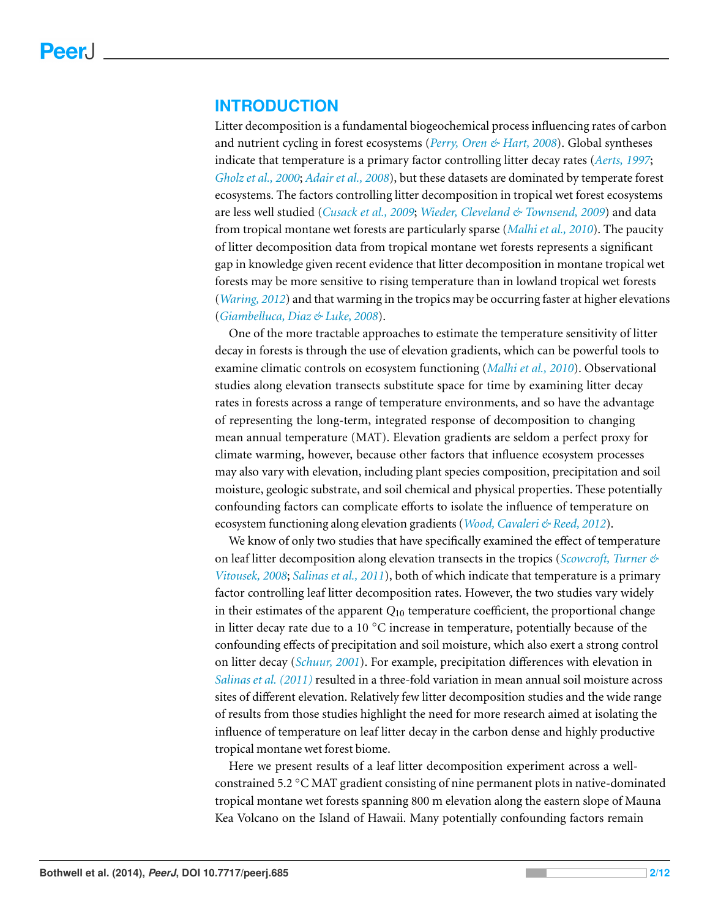#### **INTRODUCTION**

Litter decomposition is a fundamental biogeochemical process influencing rates of carbon and nutrient cycling in forest ecosystems (*[Perry, Oren & Hart, 2008](#page-11-0)*). Global syntheses indicate that temperature is a primary factor controlling litter decay rates (*[Aerts, 1997](#page-10-0)*; *[Gholz et al., 2000](#page-10-1)*; *[Adair et al., 2008](#page-10-2)*), but these datasets are dominated by temperate forest ecosystems. The factors controlling litter decomposition in tropical wet forest ecosystems are less well studied (*[Cusack et al., 2009](#page-10-3)*; *[Wieder, Cleveland & Townsend, 2009](#page-11-1)*) and data from tropical montane wet forests are particularly sparse (*[Malhi et al., 2010](#page-11-2)*). The paucity of litter decomposition data from tropical montane wet forests represents a significant gap in knowledge given recent evidence that litter decomposition in montane tropical wet forests may be more sensitive to rising temperature than in lowland tropical wet forests (*[Waring, 2012](#page-11-3)*) and that warming in the tropics may be occurring faster at higher elevations (*[Giambelluca, Diaz & Luke, 2008](#page-10-4)*).

One of the more tractable approaches to estimate the temperature sensitivity of litter decay in forests is through the use of elevation gradients, which can be powerful tools to examine climatic controls on ecosystem functioning (*[Malhi et al., 2010](#page-11-2)*). Observational studies along elevation transects substitute space for time by examining litter decay rates in forests across a range of temperature environments, and so have the advantage of representing the long-term, integrated response of decomposition to changing mean annual temperature (MAT). Elevation gradients are seldom a perfect proxy for climate warming, however, because other factors that influence ecosystem processes may also vary with elevation, including plant species composition, precipitation and soil moisture, geologic substrate, and soil chemical and physical properties. These potentially confounding factors can complicate efforts to isolate the influence of temperature on ecosystem functioning along elevation gradients (*[Wood, Cavaleri & Reed, 2012](#page-11-4)*).

We know of only two studies that have specifically examined the effect of temperature on leaf litter decomposition along elevation transects in the tropics (*[Scowcroft, Turner &](#page-11-5)  [Vitousek, 2008](#page-11-5)*; *[Salinas et al., 2011](#page-11-6)*), both of which indicate that temperature is a primary factor controlling leaf litter decomposition rates. However, the two studies vary widely in their estimates of the apparent  $Q_{10}$  temperature coefficient, the proportional change in litter decay rate due to a 10 ◦C increase in temperature, potentially because of the confounding effects of precipitation and soil moisture, which also exert a strong control on litter decay (*[Schuur, 2001](#page-11-7)*). For example, precipitation differences with elevation in *[Salinas et al. \(2011\)](#page-11-6)* resulted in a three-fold variation in mean annual soil moisture across sites of different elevation. Relatively few litter decomposition studies and the wide range of results from those studies highlight the need for more research aimed at isolating the influence of temperature on leaf litter decay in the carbon dense and highly productive tropical montane wet forest biome.

Here we present results of a leaf litter decomposition experiment across a wellconstrained 5.2 ◦C MAT gradient consisting of nine permanent plots in native-dominated tropical montane wet forests spanning 800 m elevation along the eastern slope of Mauna Kea Volcano on the Island of Hawaii. Many potentially confounding factors remain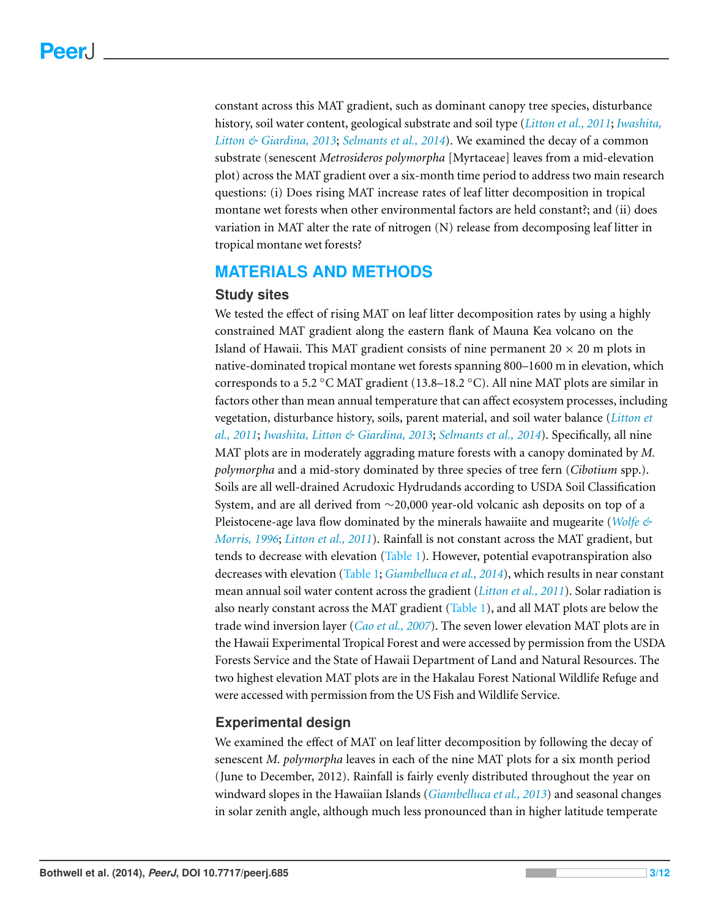constant across this MAT gradient, such as dominant canopy tree species, disturbance history, soil water content, geological substrate and soil type (*[Litton et al., 2011](#page-11-8)*; *[Iwashita,](#page-10-5)  [Litton & Giardina, 2013](#page-10-5)*; *[Selmants et al., 2014](#page-11-9)*). We examined the decay of a common substrate (senescent *Metrosideros polymorpha* [Myrtaceae] leaves from a mid-elevation plot) across the MAT gradient over a six-month time period to address two main research questions: (i) Does rising MAT increase rates of leaf litter decomposition in tropical montane wet forests when other environmental factors are held constant?; and (ii) does variation in MAT alter the rate of nitrogen (N) release from decomposing leaf litter in tropical montane wet forests?

#### **MATERIALS AND METHODS**

#### **Study sites**

We tested the effect of rising MAT on leaf litter decomposition rates by using a highly constrained MAT gradient along the eastern flank of Mauna Kea volcano on the Island of Hawaii. This MAT gradient consists of nine permanent  $20 \times 20$  m plots in native-dominated tropical montane wet forests spanning 800–1600 m in elevation, which corresponds to a 5.2 °C MAT gradient (13.8–18.2 °C). All nine MAT plots are similar in factors other than mean annual temperature that can affect ecosystem processes, including vegetation, disturbance history, soils, parent material, and soil water balance (*[Litton et](#page-11-8)  [al., 2011](#page-11-8)*; *[Iwashita, Litton & Giardina, 2013](#page-10-5)*; *[Selmants et al., 2014](#page-11-9)*). Specifically, all nine MAT plots are in moderately aggrading mature forests with a canopy dominated by *M. polymorpha* and a mid-story dominated by three species of tree fern (*Cibotium* spp.). Soils are all well-drained Acrudoxic Hydrudands according to USDA Soil Classification System, and are all derived from ∼20,000 year-old volcanic ash deposits on top of a Pleistocene-age lava flow dominated by the minerals hawaiite and mugearite (*[Wolfe &](#page-11-10)  [Morris, 1996](#page-11-10)*; *[Litton et al., 2011](#page-11-8)*). Rainfall is not constant across the MAT gradient, but tends to decrease with elevation [\(Table 1\)](#page-3-0). However, potential evapotranspiration also decreases with elevation [\(Table 1;](#page-3-0) *[Giambelluca et al., 2014](#page-10-6)*), which results in near constant mean annual soil water content across the gradient (*[Litton et al., 2011](#page-11-8)*). Solar radiation is also nearly constant across the MAT gradient [\(Table 1\)](#page-3-0), and all MAT plots are below the trade wind inversion layer (*[Cao et al., 2007](#page-10-7)*). The seven lower elevation MAT plots are in the Hawaii Experimental Tropical Forest and were accessed by permission from the USDA Forests Service and the State of Hawaii Department of Land and Natural Resources. The two highest elevation MAT plots are in the Hakalau Forest National Wildlife Refuge and were accessed with permission from the US Fish and Wildlife Service.

#### **Experimental design**

We examined the effect of MAT on leaf litter decomposition by following the decay of senescent *M. polymorpha* leaves in each of the nine MAT plots for a six month period (June to December, 2012). Rainfall is fairly evenly distributed throughout the year on windward slopes in the Hawaiian Islands (*[Giambelluca et al., 2013](#page-10-8)*) and seasonal changes in solar zenith angle, although much less pronounced than in higher latitude temperate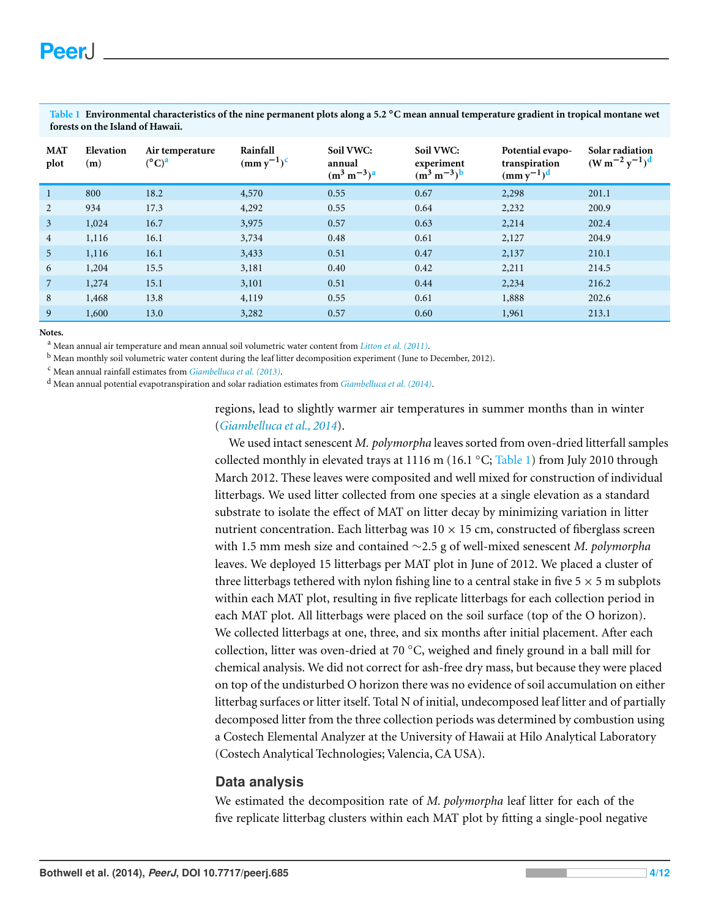| <b>MAT</b><br>plot | Elevation<br>(m) | Air temperature<br>$(^{\circ}C)^{a}$ | Rainfall<br>$(mm y^{-1})^c$ | Soil VWC:<br>annual<br>$(m^3 m^{-3})^a$ | Soil VWC:<br>experiment<br>$(m^3 m^{-3})^b$ | Potential evapo-<br>transpiration<br>$(mm y^{-1})^d$ | Solar radiation<br>$(W m^{-2} y^{-1})^d$ |
|--------------------|------------------|--------------------------------------|-----------------------------|-----------------------------------------|---------------------------------------------|------------------------------------------------------|------------------------------------------|
| $\mathbf{1}$       | 800              | 18.2                                 | 4,570                       | 0.55                                    | 0.67                                        | 2,298                                                | 201.1                                    |
| 2                  | 934              | 17.3                                 | 4,292                       | 0.55                                    | 0.64                                        | 2,232                                                | 200.9                                    |
| $\mathbf{3}$       | 1,024            | 16.7                                 | 3,975                       | 0.57                                    | 0.63                                        | 2,214                                                | 202.4                                    |
| $\overline{4}$     | 1,116            | 16.1                                 | 3,734                       | 0.48                                    | 0.61                                        | 2,127                                                | 204.9                                    |
| 5                  | 1,116            | 16.1                                 | 3,433                       | 0.51                                    | 0.47                                        | 2,137                                                | 210.1                                    |
| 6                  | 1,204            | 15.5                                 | 3,181                       | 0.40                                    | 0.42                                        | 2,211                                                | 214.5                                    |
| $\overline{7}$     | 1,274            | 15.1                                 | 3,101                       | 0.51                                    | 0.44                                        | 2,234                                                | 216.2                                    |
| 8                  | 1,468            | 13.8                                 | 4,119                       | 0.55                                    | 0.61                                        | 1,888                                                | 202.6                                    |
| 9                  | 1,600            | 13.0                                 | 3,282                       | 0.57                                    | 0.60                                        | 1,961                                                | 213.1                                    |

<span id="page-3-0"></span>**Table 1 Environmental characteristics of the nine permanent plots along a 5.2** ◦**C mean annual temperature gradient in tropical montane wet forests on the Island of Hawaii.** 

#### **Notes.**

<span id="page-3-1"></span>a Mean annual air temperature and mean annual soil volumetric water content from *[Litton et al. \(2011\)](#page-11-8)*.

<span id="page-3-3"></span>b Mean monthly soil volumetric water content during the leaf litter decomposition experiment (June to December, 2012).

<span id="page-3-2"></span>c Mean annual rainfall estimates from *[Giambelluca et al. \(2013\)](#page-10-8)*.

<span id="page-3-4"></span>d Mean annual potential evapotranspiration and solar radiation estimates from *[Giambelluca et al. \(2014\)](#page-10-6)*.

regions, lead to slightly warmer air temperatures in summer months than in winter (*[Giambelluca et al., 2014](#page-10-6)*).

We used intact senescent *M. polymorpha* leaves sorted from oven-dried litterfall samples collected monthly in elevated trays at 1116 m (16.1  $\degree$ C; [Table 1\)](#page-3-0) from July 2010 through March 2012. These leaves were composited and well mixed for construction of individual litterbags. We used litter collected from one species at a single elevation as a standard substrate to isolate the effect of MAT on litter decay by minimizing variation in litter nutrient concentration. Each litterbag was  $10 \times 15$  cm, constructed of fiberglass screen with 1.5 mm mesh size and contained ∼2.5 g of well-mixed senescent *M. polymorpha*  leaves. We deployed 15 litterbags per MAT plot in June of 2012. We placed a cluster of three litterbags tethered with nylon fishing line to a central stake in five  $5 \times 5$  m subplots within each MAT plot, resulting in five replicate litterbags for each collection period in each MAT plot. All litterbags were placed on the soil surface (top of the O horizon). We collected litterbags at one, three, and six months after initial placement. After each collection, litter was oven-dried at 70 ◦C, weighed and finely ground in a ball mill for chemical analysis. We did not correct for ash-free dry mass, but because they were placed on top of the undisturbed O horizon there was no evidence of soil accumulation on either litterbag surfaces or litter itself. Total N of initial, undecomposed leaf litter and of partially decomposed litter from the three collection periods was determined by combustion using a Costech Elemental Analyzer at the University of Hawaii at Hilo Analytical Laboratory (Costech Analytical Technologies; Valencia, CA USA).

#### **Data analysis**

We estimated the decomposition rate of *M. polymorpha* leaf litter for each of the five replicate litterbag clusters within each MAT plot by fitting a single-pool negative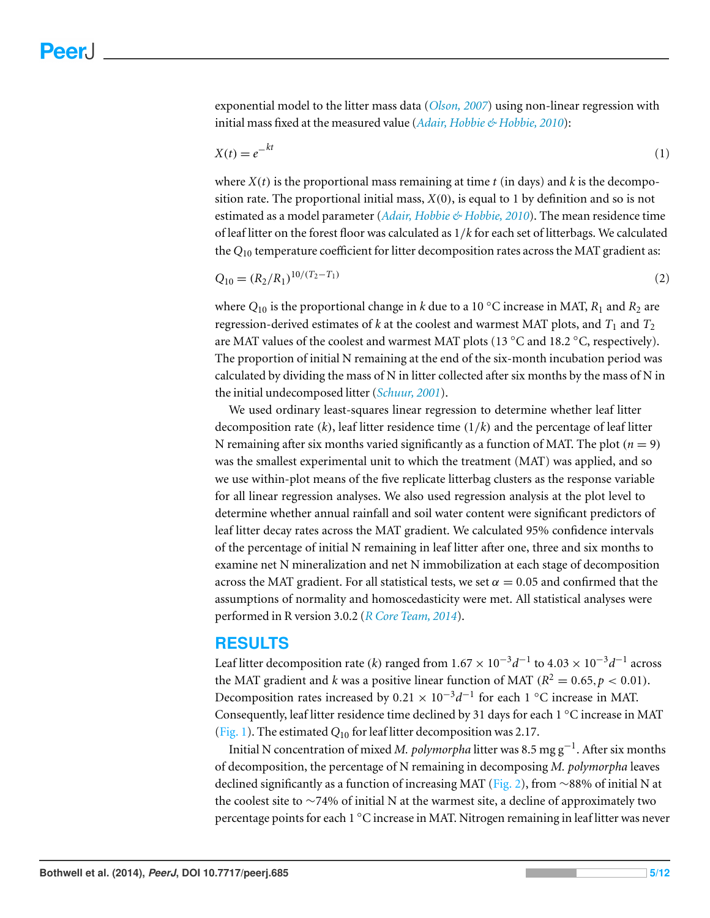exponential model to the litter mass data (*[Olson, 2007](#page-11-11)*) using non-linear regression with initial mass fixed at the measured value (*[Adair, Hobbie & Hobbie, 2010](#page-10-9)*):

$$
X(t) = e^{-kt} \tag{1}
$$

where  $X(t)$  is the proportional mass remaining at time  $t$  (in days) and  $k$  is the decomposition rate. The proportional initial mass, *X*(0), is equal to 1 by definition and so is not estimated as a model parameter (*[Adair, Hobbie & Hobbie, 2010](#page-10-9)*). The mean residence time of leaf litter on the forest floor was calculated as 1/*k* for each set of litterbags. We calculated the  $Q_{10}$  temperature coefficient for litter decomposition rates across the MAT gradient as:

$$
Q_{10} = (R_2/R_1)^{10/(T_2 - T_1)}
$$
\n(2)

where  $Q_{10}$  is the proportional change in *k* due to a 10 °C increase in MAT,  $R_1$  and  $R_2$  are regression-derived estimates of  $k$  at the coolest and warmest MAT plots, and  $T_1$  and  $T_2$ are MAT values of the coolest and warmest MAT plots (13 ◦C and 18.2 ◦C, respectively). The proportion of initial N remaining at the end of the six-month incubation period was calculated by dividing the mass of N in litter collected after six months by the mass of N in the initial undecomposed litter (*[Schuur, 2001](#page-11-7)*).

We used ordinary least-squares linear regression to determine whether leaf litter decomposition rate (*k*), leaf litter residence time (1/*k*) and the percentage of leaf litter N remaining after six months varied significantly as a function of MAT. The plot ( $n = 9$ ) was the smallest experimental unit to which the treatment (MAT) was applied, and so we use within-plot means of the five replicate litterbag clusters as the response variable for all linear regression analyses. We also used regression analysis at the plot level to determine whether annual rainfall and soil water content were significant predictors of leaf litter decay rates across the MAT gradient. We calculated 95% confidence intervals of the percentage of initial N remaining in leaf litter after one, three and six months to examine net N mineralization and net N immobilization at each stage of decomposition across the MAT gradient. For all statistical tests, we set  $\alpha = 0.05$  and confirmed that the assumptions of normality and homoscedasticity were met. All statistical analyses were performed in R version 3.0.2 (*[R Core Team, 2014](#page-11-12)*).

#### **RESULTS**

Leaf litter decomposition rate (*k*) ranged from  $1.67 \times 10^{-3} d^{-1}$  to  $4.03 \times 10^{-3} d^{-1}$  across the MAT gradient and *k* was a positive linear function of MAT ( $R^2 = 0.65$ ,  $p < 0.01$ ). Decomposition rates increased by  $0.21 \times 10^{-3} d^{-1}$  for each 1 °C increase in MAT. Consequently, leaf litter residence time declined by 31 days for each 1 ◦C increase in MAT [\(Fig. 1\)](#page-5-0). The estimated *Q*10 for leaf litter decomposition was 2.17.

Initial N concentration of mixed *M. polymorpha* litter was 8.5 mg g<sup>−</sup>1. After six months of decomposition, the percentage of N remaining in decomposing *M. polymorpha* leaves declined significantly as a function of increasing MAT [\(Fig. 2\)](#page-6-0), from ∼88% of initial N at the coolest site to ∼74% of initial N at the warmest site, a decline of approximately two percentage points for each 1 ◦C increase in MAT. Nitrogen remaining in leaf litter was never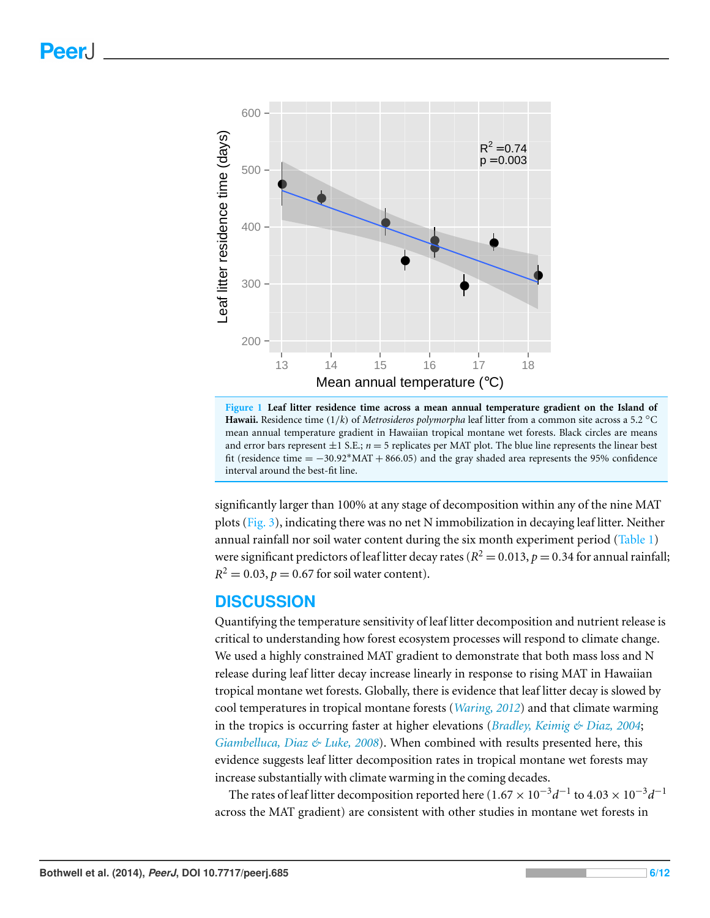<span id="page-5-0"></span>

**Figure 1 Leaf litter residence time across a mean annual temperature gradient on the Island of Hawaii.** Residence time (1/*k*) of *Metrosideros polymorpha* leaf litter from a common site across a 5.2 ◦C mean annual temperature gradient in Hawaiian tropical montane wet forests. Black circles are means and error bars represent  $\pm 1$  S.E.;  $n = 5$  replicates per MAT plot. The blue line represents the linear best fit (residence time  $= -30.92*$  MAT + 866.05) and the gray shaded area represents the 95% confidence interval around the best-fit line.

significantly larger than 100% at any stage of decomposition within any of the nine MAT plots [\(Fig. 3\)](#page-7-0), indicating there was no net N immobilization in decaying leaf litter. Neither annual rainfall nor soil water content during the six month experiment period [\(Table 1\)](#page-3-0) were significant predictors of leaf litter decay rates ( $R^2 = 0.013$ ,  $p = 0.34$  for annual rainfall;  $R^2 = 0.03$ ,  $p = 0.67$  for soil water content).

#### **DISCUSSION**

Quantifying the temperature sensitivity of leaf litter decomposition and nutrient release is critical to understanding how forest ecosystem processes will respond to climate change. We used a highly constrained MAT gradient to demonstrate that both mass loss and N release during leaf litter decay increase linearly in response to rising MAT in Hawaiian tropical montane wet forests. Globally, there is evidence that leaf litter decay is slowed by cool temperatures in tropical montane forests (*[Waring, 2012](#page-11-3)*) and that climate warming in the tropics is occurring faster at higher elevations (*[Bradley, Keimig & Diaz, 2004](#page-10-10)*; *[Giambelluca, Diaz & Luke, 2008](#page-10-4)*). When combined with results presented here, this evidence suggests leaf litter decomposition rates in tropical montane wet forests may increase substantially with climate warming in the coming decades.

The rates of leaf litter decomposition reported here (1.67 ×  $10^{-3}d^{-1}$  to  $4.03 \times 10^{-3}d^{-1}$ across the MAT gradient) are consistent with other studies in montane wet forests in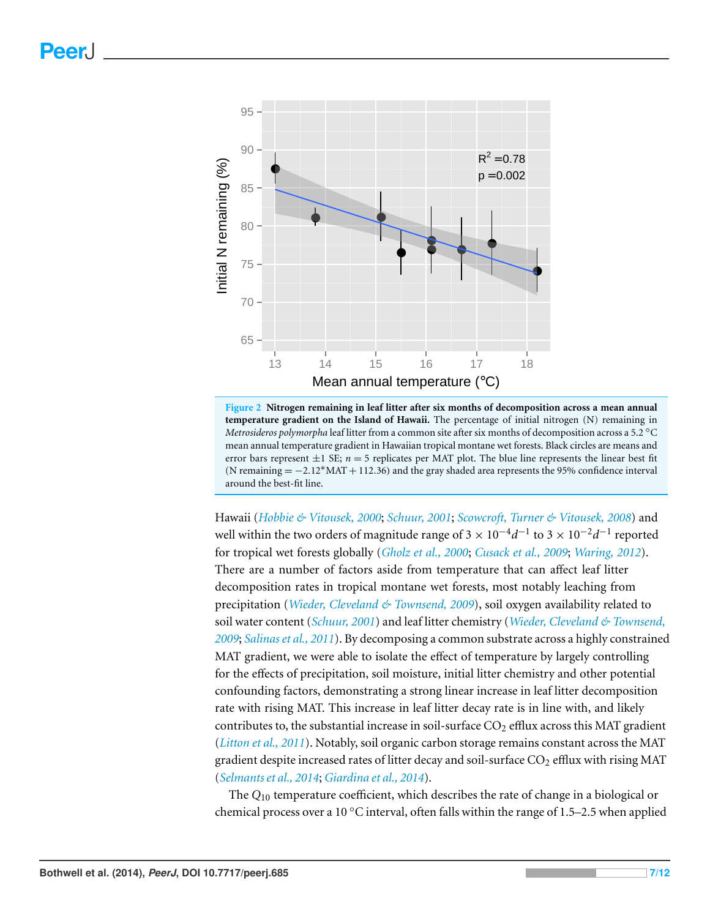<span id="page-6-0"></span>

**Figure 2 Nitrogen remaining in leaf litter after six months of decomposition across a mean annual temperature gradient on the Island of Hawaii.** The percentage of initial nitrogen (N) remaining in *Metrosideros polymorpha* leaf litter from a common site after six months of decomposition across a 5.2 ◦C mean annual temperature gradient in Hawaiian tropical montane wet forests. Black circles are means and error bars represent  $\pm 1$  SE;  $n = 5$  replicates per MAT plot. The blue line represents the linear best fit (N remaining = −2.12 ∗MAT + 112.36) and the gray shaded area represents the 95% confidence interval around the best-fit line.

Hawaii (*[Hobbie & Vitousek, 2000](#page-10-11)*; *[Schuur, 2001](#page-11-7)*; *[Scowcroft, Turner & Vitousek, 2008](#page-11-5)*) and well within the two orders of magnitude range of  $3 \times 10^{-4} d^{-1}$  to  $3 \times 10^{-2} d^{-1}$  reported for tropical wet forests globally (*[Gholz et al., 2000](#page-10-1)*; *[Cusack et al., 2009](#page-10-3)*; *[Waring, 2012](#page-11-3)*). There are a number of factors aside from temperature that can affect leaf litter decomposition rates in tropical montane wet forests, most notably leaching from precipitation (*[Wieder, Cleveland & Townsend, 2009](#page-11-1)*), soil oxygen availability related to soil water content (*[Schuur, 2001](#page-11-7)*) and leaf litter chemistry (*[Wieder, Cleveland & Townsend,](#page-11-1)  [2009](#page-11-1)*; *[Salinas et al., 2011](#page-11-6)*). By decomposing a common substrate across a highly constrained MAT gradient, we were able to isolate the effect of temperature by largely controlling for the effects of precipitation, soil moisture, initial litter chemistry and other potential confounding factors, demonstrating a strong linear increase in leaf litter decomposition rate with rising MAT. This increase in leaf litter decay rate is in line with, and likely contributes to, the substantial increase in soil-surface  $CO<sub>2</sub>$  efflux across this MAT gradient (*[Litton et al., 2011](#page-11-8)*). Notably, soil organic carbon storage remains constant across the MAT gradient despite increased rates of litter decay and soil-surface  $CO<sub>2</sub>$  efflux with rising MAT (*[Selmants et al., 2014](#page-11-9)*; *[Giardina et al., 2014](#page-10-12)*).

The *Q*10 temperature coefficient, which describes the rate of change in a biological or chemical process over a 10  $^{\circ}$ C interval, often falls within the range of 1.5–2.5 when applied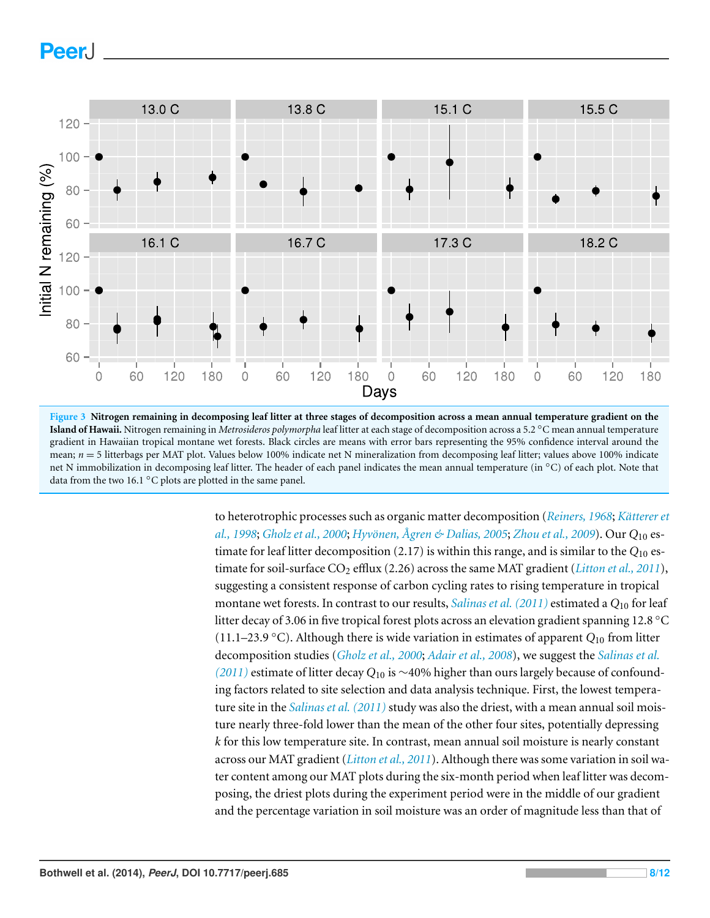<span id="page-7-0"></span>

**Figure 3 Nitrogen remaining in decomposing leaf litter at three stages of decomposition across a mean annual temperature gradient on the Island of Hawaii.** Nitrogen remaining in *Metrosideros polymorpha* leaf litter at each stage of decomposition across a 5.2 ◦C mean annual temperature gradient in Hawaiian tropical montane wet forests. Black circles are means with error bars representing the 95% confidence interval around the mean;  $n = 5$  litterbags per MAT plot. Values below 100% indicate net N mineralization from decomposing leaf litter; values above 100% indicate net N immobilization in decomposing leaf litter. The header of each panel indicates the mean annual temperature (in ◦C) of each plot. Note that data from the two 16.1 $\degree$ C plots are plotted in the same panel.

to heterotrophic processes such as organic matter decomposition (*[Reiners, 1968](#page-11-13)*; *Kätterer et [al., 1998](#page-10-13)*; *[Gholz et al., 2000](#page-10-1)*; *[Hyvonen, ¨](#page-10-14) [Agren & Dalias, 2005](#page-10-14) ˚* ; *[Zhou et al., 2009](#page-11-14)*). Our *Q*10 estimate for leaf litter decomposition (2.17) is within this range, and is similar to the *Q*10 estimate for soil-surface CO2 efflux (2.26) across the same MAT gradient (*[Litton et al., 2011](#page-11-8)*), suggesting a consistent response of carbon cycling rates to rising temperature in tropical montane wet forests. In contrast to our results, *[Salinas et al. \(2011\)](#page-11-6)* estimated a *Q*10 for leaf litter decay of 3.06 in five tropical forest plots across an elevation gradient spanning 12.8 ◦C (11.1–23.9 ◦C). Although there is wide variation in estimates of apparent *Q*10 from litter decomposition studies (*[Gholz et al., 2000](#page-10-1)*; *[Adair et al., 2008](#page-10-2)*), we suggest the *[Salinas et al.](#page-11-6)  [\(2011\)](#page-11-6)* estimate of litter decay *Q*10 is ∼40% higher than ours largely because of confounding factors related to site selection and data analysis technique. First, the lowest temperature site in the *[Salinas et al. \(2011\)](#page-11-6)* study was also the driest, with a mean annual soil moisture nearly three-fold lower than the mean of the other four sites, potentially depressing *k* for this low temperature site. In contrast, mean annual soil moisture is nearly constant across our MAT gradient (*[Litton et al., 2011](#page-11-8)*). Although there was some variation in soil water content among our MAT plots during the six-month period when leaf litter was decomposing, the driest plots during the experiment period were in the middle of our gradient and the percentage variation in soil moisture was an order of magnitude less than that of

**PeerJ**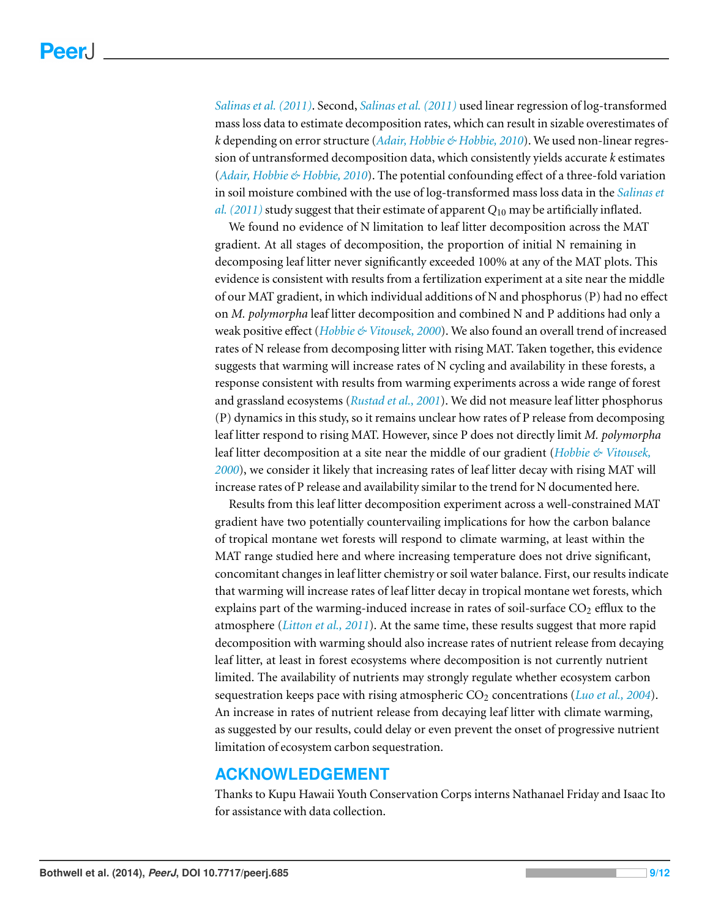*[Salinas et al. \(2011\)](#page-11-6)*. Second, *[Salinas et al. \(2011\)](#page-11-6)* used linear regression of log-transformed mass loss data to estimate decomposition rates, which can result in sizable overestimates of *k* depending on error structure (*[Adair, Hobbie & Hobbie, 2010](#page-10-9)*). We used non-linear regression of untransformed decomposition data, which consistently yields accurate *k* estimates (*[Adair, Hobbie & Hobbie, 2010](#page-10-9)*). The potential confounding effect of a three-fold variation in soil moisture combined with the use of log-transformed mass loss data in the *[Salinas et](#page-11-6)  [al. \(2011\)](#page-11-6)* study suggest that their estimate of apparent *Q*10 may be artificially inflated.

We found no evidence of N limitation to leaf litter decomposition across the MAT gradient. At all stages of decomposition, the proportion of initial N remaining in decomposing leaf litter never significantly exceeded 100% at any of the MAT plots. This evidence is consistent with results from a fertilization experiment at a site near the middle of our MAT gradient, in which individual additions of N and phosphorus (P) had no effect on *M. polymorpha* leaf litter decomposition and combined N and P additions had only a weak positive effect (*[Hobbie & Vitousek, 2000](#page-10-11)*). We also found an overall trend of increased rates of N release from decomposing litter with rising MAT. Taken together, this evidence suggests that warming will increase rates of N cycling and availability in these forests, a response consistent with results from warming experiments across a wide range of forest and grassland ecosystems (*[Rustad et al., 2001](#page-11-15)*). We did not measure leaf litter phosphorus (P) dynamics in this study, so it remains unclear how rates of P release from decomposing leaf litter respond to rising MAT. However, since P does not directly limit *M. polymorpha*  leaf litter decomposition at a site near the middle of our gradient (*[Hobbie & Vitousek,](#page-10-11)  [2000](#page-10-11)*), we consider it likely that increasing rates of leaf litter decay with rising MAT will increase rates of P release and availability similar to the trend for N documented here.

Results from this leaf litter decomposition experiment across a well-constrained MAT gradient have two potentially countervailing implications for how the carbon balance of tropical montane wet forests will respond to climate warming, at least within the MAT range studied here and where increasing temperature does not drive significant, concomitant changes in leaf litter chemistry or soil water balance. First, our results indicate that warming will increase rates of leaf litter decay in tropical montane wet forests, which explains part of the warming-induced increase in rates of soil-surface  $CO<sub>2</sub>$  efflux to the atmosphere (*[Litton et al., 2011](#page-11-8)*). At the same time, these results suggest that more rapid decomposition with warming should also increase rates of nutrient release from decaying leaf litter, at least in forest ecosystems where decomposition is not currently nutrient limited. The availability of nutrients may strongly regulate whether ecosystem carbon sequestration keeps pace with rising atmospheric CO<sub>2</sub> concentrations (*[Luo et al., 2004](#page-11-16)*). An increase in rates of nutrient release from decaying leaf litter with climate warming, as suggested by our results, could delay or even prevent the onset of progressive nutrient limitation of ecosystem carbon sequestration.

#### **ACKNOWLEDGEMENT**

Thanks to Kupu Hawaii Youth Conservation Corps interns Nathanael Friday and Isaac Ito for assistance with data collection.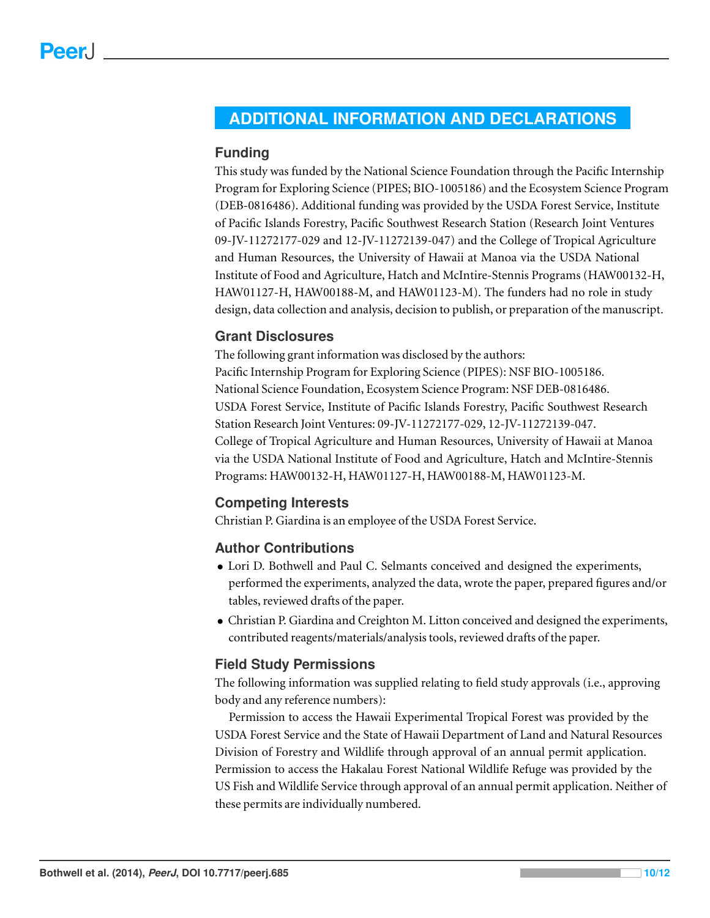## <span id="page-9-0"></span>**ADDITIONAL INFORMATION AND DECLARATIONS**

#### **Funding**

This study was funded by the National Science Foundation through the Pacific Internship Program for Exploring Science (PIPES; BIO-1005186) and the Ecosystem Science Program (DEB-0816486). Additional funding was provided by the USDA Forest Service, Institute of Pacific Islands Forestry, Pacific Southwest Research Station (Research Joint Ventures 09-JV-11272177-029 and 12-JV-11272139-047) and the College of Tropical Agriculture and Human Resources, the University of Hawaii at Manoa via the USDA National Institute of Food and Agriculture, Hatch and McIntire-Stennis Programs (HAW00132-H, HAW01127-H, HAW00188-M, and HAW01123-M). The funders had no role in study design, data collection and analysis, decision to publish, or preparation of the manuscript.

#### **Grant Disclosures**

The following grant information was disclosed by the authors: Pacific Internship Program for Exploring Science (PIPES): NSF BIO-1005186. National Science Foundation, Ecosystem Science Program: NSF DEB-0816486. USDA Forest Service, Institute of Pacific Islands Forestry, Pacific Southwest Research Station Research Joint Ventures: 09-JV-11272177-029, 12-JV-11272139-047. College of Tropical Agriculture and Human Resources, University of Hawaii at Manoa via the USDA National Institute of Food and Agriculture, Hatch and McIntire-Stennis Programs: HAW00132-H, HAW01127-H, HAW00188-M, HAW01123-M.

#### **Competing Interests**

Christian P. Giardina is an employee of the USDA Forest Service.

#### **Author Contributions**

- Lori D. Bothwell and Paul C. Selmants conceived and designed the experiments, performed the experiments, analyzed the data, wrote the paper, prepared figures and/or tables, reviewed drafts of the paper.
- Christian P. Giardina and Creighton M. Litton conceived and designed the experiments, contributed reagents/materials/analysis tools, reviewed drafts of the paper.

#### **Field Study Permissions**

The following information was supplied relating to field study approvals (i.e., approving body and any reference numbers):

Permission to access the Hawaii Experimental Tropical Forest was provided by the USDA Forest Service and the State of Hawaii Department of Land and Natural Resources Division of Forestry and Wildlife through approval of an annual permit application. Permission to access the Hakalau Forest National Wildlife Refuge was provided by the US Fish and Wildlife Service through approval of an annual permit application. Neither of these permits are individually numbered.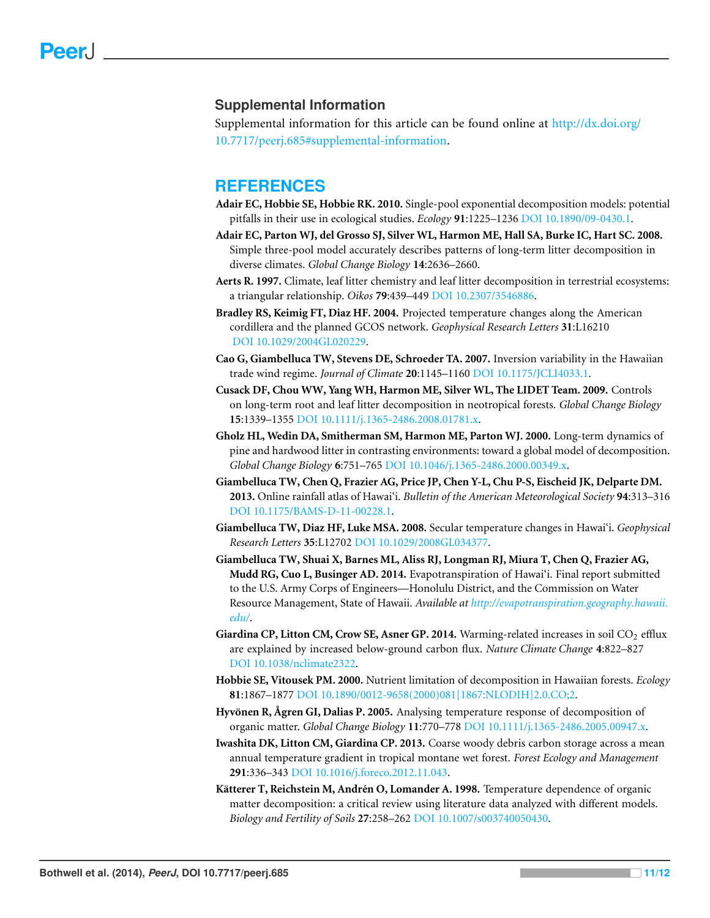#### **Supplemental Information**

Supplemental information for this article can be found online at [http://dx.doi.org/](http://dx.doi.org/10.7717/peerj.685#supplemental-information)  [10.7717/peerj.685#supplemental-information.](http://dx.doi.org/10.7717/peerj.685#supplemental-information)

#### **REFERENCES**

- <span id="page-10-9"></span>**Adair EC, Hobbie SE, Hobbie RK. 2010.** Single-pool exponential decomposition models: potential pitfalls in their use in ecological studies. *Ecology* **91**:1225–1236 DOI [10.1890/09-0430.1.](http://dx.doi.org/10.1890/09-0430.1)
- <span id="page-10-2"></span>**Adair EC, Parton WJ, del Grosso SJ, Silver WL, Harmon ME, Hall SA, Burke IC, Hart SC. 2008.**  Simple three-pool model accurately describes patterns of long-term litter decomposition in diverse climates. *Global Change Biology* **14**:2636–2660.
- <span id="page-10-0"></span>**Aerts R. 1997.** Climate, leaf litter chemistry and leaf litter decomposition in terrestrial ecosystems: a triangular relationship. *Oikos* **79**:439–449 DOI [10.2307/3546886.](http://dx.doi.org/10.2307/3546886)
- <span id="page-10-10"></span>**Bradley RS, Keimig FT, Diaz HF. 2004.** Projected temperature changes along the American cordillera and the planned GCOS network. *Geophysical Research Letters* **31**:L16210 DOI [10.1029/2004GL020229.](http://dx.doi.org/10.1029/2004GL020229)
- <span id="page-10-7"></span>**Cao G, Giambelluca TW, Stevens DE, Schroeder TA. 2007.** Inversion variability in the Hawaiian trade wind regime. *Journal of Climate* **20**:1145–1160 DOI [10.1175/JCLI4033.1.](http://dx.doi.org/10.1175/JCLI4033.1)
- <span id="page-10-3"></span>**Cusack DF, Chou WW, Yang WH, Harmon ME, Silver WL, The LIDET Team. 2009.** Controls on long-term root and leaf litter decomposition in neotropical forests. *Global Change Biology*  **15**:1339–1355 DOI [10.1111/j.1365-2486.2008.01781.x.](http://dx.doi.org/10.1111/j.1365-2486.2008.01781.x)
- <span id="page-10-1"></span>**Gholz HL, Wedin DA, Smitherman SM, Harmon ME, Parton WJ. 2000.** Long-term dynamics of pine and hardwood litter in contrasting environments: toward a global model of decomposition. *Global Change Biology* **6**:751–765 DOI [10.1046/j.1365-2486.2000.00349.x.](http://dx.doi.org/10.1046/j.1365-2486.2000.00349.x)
- <span id="page-10-8"></span>**Giambelluca TW, Chen Q, Frazier AG, Price JP, Chen Y-L, Chu P-S, Eischeid JK, Delparte DM. 2013.** Online rainfall atlas of Hawai'i. *Bulletin of the American Meteorological Society* **94**:313–316 DOI [10.1175/BAMS-D-11-00228.1.](http://dx.doi.org/10.1175/BAMS-D-11-00228.1)
- <span id="page-10-4"></span>**Giambelluca TW, Diaz HF, Luke MSA. 2008.** Secular temperature changes in Hawai'i. *Geophysical Research Letters* **35**:L12702 DOI [10.1029/2008GL034377.](http://dx.doi.org/10.1029/2008GL034377)
- <span id="page-10-6"></span>**Giambelluca TW, Shuai X, Barnes ML, Aliss RJ, Longman RJ, Miura T, Chen Q, Frazier AG, Mudd RG, Cuo L, Businger AD. 2014.** Evapotranspiration of Hawai'i. Final report submitted to the U.S. Army Corps of Engineers—Honolulu District, and the Commission on Water Resource Management, State of Hawaii. *Available at [http://evapotranspiration.geography.hawaii.](http://evapotranspiration.geography.hawaii.edu/)  [edu/](http://evapotranspiration.geography.hawaii.edu/)*.
- <span id="page-10-12"></span>Giardina CP, Litton CM, Crow SE, Asner GP. 2014. Warming-related increases in soil CO<sub>2</sub> efflux are explained by increased below-ground carbon flux. *Nature Climate Change* **4**:822–827 DOI [10.1038/nclimate2322.](http://dx.doi.org/10.1038/nclimate2322)
- <span id="page-10-11"></span>**Hobbie SE, Vitousek PM. 2000.** Nutrient limitation of decomposition in Hawaiian forests. *Ecology*  **81**:1867–1877 DOI [10.1890/0012-9658\(2000\)081\[1867:NLODIH\]2.0.CO;2.](http://dx.doi.org/10.1890/0012-9658(2000)081[1867:NLODIH]2.0.CO;2)
- <span id="page-10-14"></span>**Hyvönen R, Ågren GI, Dalias P. 2005.** Analysing temperature response of decomposition of organic matter. *Global Change Biology* **11**:770–778 DOI [10.1111/j.1365-2486.2005.00947.x.](http://dx.doi.org/10.1111/j.1365-2486.2005.00947.x)
- <span id="page-10-5"></span>**Iwashita DK, Litton CM, Giardina CP. 2013.** Coarse woody debris carbon storage across a mean annual temperature gradient in tropical montane wet forest. *Forest Ecology and Management*  **291**:336–343 DOI [10.1016/j.foreco.2012.11.043.](http://dx.doi.org/10.1016/j.foreco.2012.11.043)
- <span id="page-10-13"></span>Kätterer T, Reichstein M, Andrén O, Lomander A. 1998. Temperature dependence of organic matter decomposition: a critical review using literature data analyzed with different models. *Biology and Fertility of Soils* **27**:258–262 DOI [10.1007/s003740050430.](http://dx.doi.org/10.1007/s003740050430)